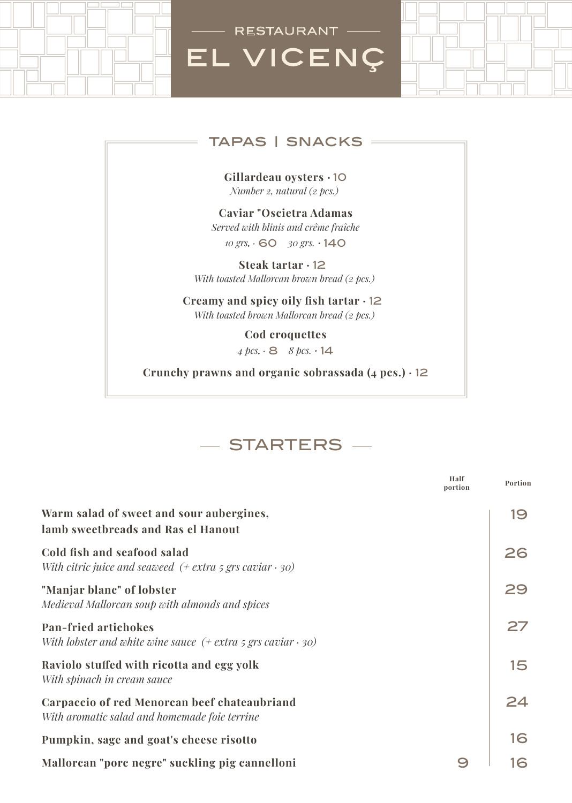

# restaurant EL VICENÇ



**Gillardeau oysters ·** 10 *Number 2, natural (2 pcs.)* 

**Caviar "Oscietra Adamas** *Served with blinis and crême fraîche 10 grs. ·* 60 *30 grs. ·* 140

**Steak tartar ·** 12 *With toasted Mallorcan brown bread (2 pcs.)* 

**Creamy and spicy oily fish tartar ·** 12 *With toasted brown Mallorcan bread (2 pcs.)* 

**Cod croquettes**

*4 pcs. ·* 8 *8 pcs. ·* 14

**Crunchy prawns and organic sobrassada (4 pcs.) ·** 12



|                                                                                                      | Half<br>portion | Portion |
|------------------------------------------------------------------------------------------------------|-----------------|---------|
| Warm salad of sweet and sour aubergines,<br>lamb sweetbreads and Ras el Hanout                       |                 | 19      |
| Cold fish and seafood salad<br>With citric juice and seaweed $(+$ extra 5 grs caviar $\cdot$ 30)     |                 | 26      |
| "Manjar blanc" of lobster<br>Medieval Mallorcan soup with almonds and spices                         |                 | 29      |
| <b>Pan-fried artichokes</b><br>With lobster and white wine sauce $(+$ extra 5 grs caviar $\cdot$ 30) |                 | 27      |
| Raviolo stuffed with ricotta and egg yolk<br>With spinach in cream sauce                             |                 | 15      |
| Carpaccio of red Menorcan beef chateaubriand<br>With aromatic salad and homemade foie terrine        |                 | 24      |
| Pumpkin, sage and goat's cheese risotto                                                              |                 | 16      |
| Mallorcan "porc negre" suckling pig cannelloni                                                       |                 | 16      |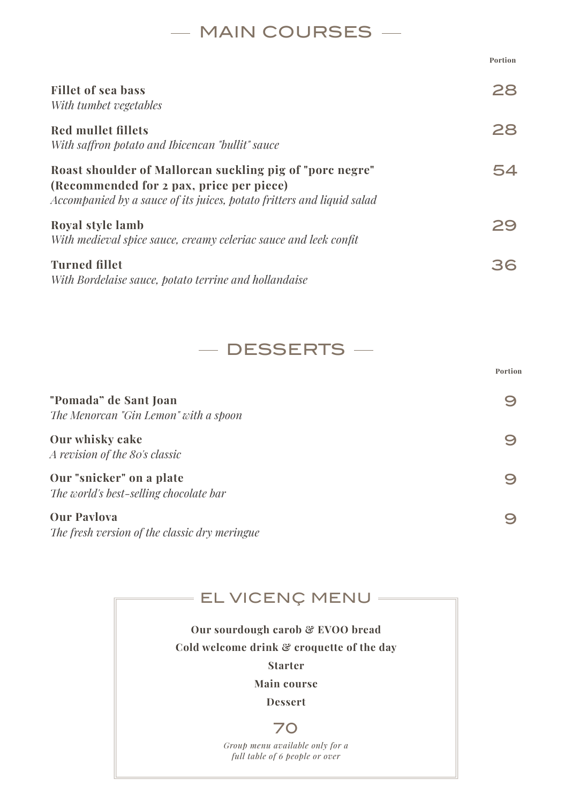## - MAIN COURSES -

**Fillet of sea bass** *With tumbet vegetables* **Red mullet fillets** *With saffron potato and Ibicencan "bullit" sauce* **Roast shoulder of Mallorcan suckling pig of "porc negre" (Recommended for 2 pax, price per piece)**  *Accompanied by a sauce of its juices, potato fritters and liquid salad* **Royal style lamb** *With medieval spice sauce, creamy celeriac sauce and leek confit* **Turned fillet** *With Bordelaise sauce, potato terrine and hollandaise* 28 28 54 29 36

### $-$  DESSERTS  $-$

9 9 0 9 **"Pomada" de Sant Joan** *The Menorcan "Gin Lemon" with a spoon* **Our whisky cake** *A revision of the 80's classic* **Our "snicker" on a plate** *The world's best-selling chocolate bar* **Our Pavlova** *The fresh version of the classic dry meringue*



**Portion**

**Portion**